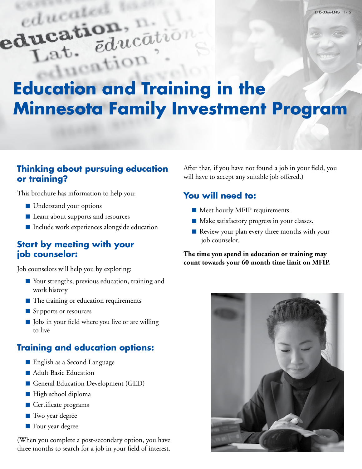# educate education, ucation, ducation t. educn?

# **Education and Training in the Minnesota Family Investment Program**

### **Thinking about pursuing education or training?**

This brochure has information to help you:

- Understand your options
- Learn about supports and resources
- Include work experiences alongside education

#### **Start by meeting with your job counselor:**

Job counselors will help you by exploring:

- Your strengths, previous education, training and work history
- The training or education requirements
- Supports or resources
- Jobs in your field where you live or are willing to live

# **Training and education options:**

- English as a Second Language
- Adult Basic Education
- General Education Development (GED)
- High school diploma
- Certificate programs
- Two year degree
- Four year degree

(When you complete a post-secondary option, you have three months to search for a job in your field of interest.

After that, if you have not found a job in your field, you will have to accept any suitable job offered.)

## **You will need to:**

- Meet hourly MFIP requirements.
- Make satisfactory progress in your classes.
- Review your plan every three months with your job counselor.

**The time you spend in education or training may count towards your 60 month time limit on MFIP.**

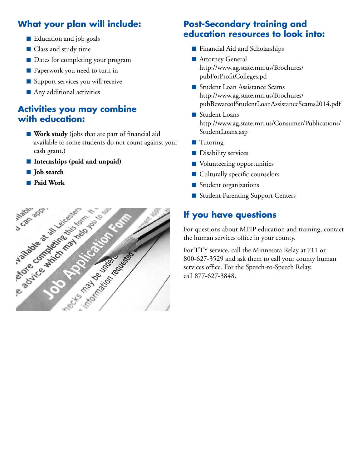# **What your plan will include:**

- Education and job goals
- Class and study time
- Dates for completing your program
- Paperwork you need to turn in
- Support services you will receive
- Any additional activities

#### **Activities you may combine with education:**

- **Work study** (jobs that are part of financial aid available to some students do not count against your cash grant.)
- **Internships** (paid and unpaid)
- **Job search**
- 



### **Post-Secondary training and education resources to look into:**

- Financial Aid and Scholarships
- Attorney General http://www.ag.state.mn.us/Brochures/ pubForProfitColleges.pd
- Student Loan Assistance Scams http://www.ag.state.mn.us/Brochures/ pubBewareofStudentLoanAssistanceScams2014.pdf
- Student Loans http://www.ag.state.mn.us/Consumer/Publications/ StudentLoans.asp
- Tutoring
- Disability services
- Volunteering opportunities
- Culturally specific counselors
- Student organizations
- Student Parenting Support Centers

# **If you have questions**

For questions about MFIP education and training, contact the human services office in your county.

For TTY service, call the Minnesota Relay at 711 or 800-627-3529 and ask them to call your county human services office. For the Speech-to-Speech Relay, call 877-627-3848.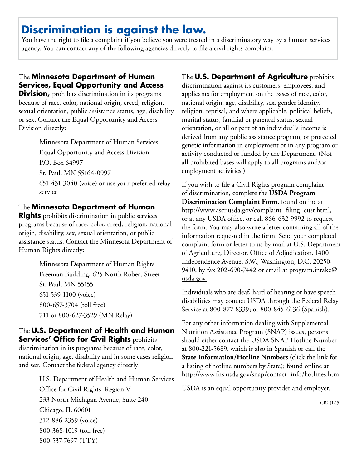# **Discrimination is against the law.**

You have the right to file a complaint if you believe you were treated in a discriminatory way by a human services agency. You can contact any of the following agencies directly to file a civil rights complaint.

#### The **Minnesota Department of Human Services, Equal Opportunity and Access**

**Division,** prohibits discrimination in its programs because of race, color, national origin, creed, religion, sexual orientation, public assistance status, age, disability or sex. Contact the Equal Opportunity and Access Division directly:

> Minnesota Department of Human Services Equal Opportunity and Access Division P.O. Box 64997 St. Paul, MN 55164-0997 651-431-3040 (voice) or use your preferred relay service

#### The **Minnesota Department of Human**

**Rights** prohibits discrimination in public services programs because of race, color, creed, religion, national origin, disability, sex, sexual orientation, or public assistance status. Contact the Minnesota Department of Human Rights directly:

> Minnesota Department of Human Rights Freeman Building, 625 North Robert Street St. Paul, MN 55155 651-539-1100 (voice) 800-657-3704 (toll free) 711 or 800-627-3529 (MN Relay)

#### The **U.S. Department of Health and Human Services' Office for Civil Rights** prohibits

discrimination in its programs because of race, color, national origin, age, disability and in some cases religion and sex. Contact the federal agency directly:

> U.S. Department of Health and Human Services Office for Civil Rights, Region V 233 North Michigan Avenue, Suite 240 Chicago, IL 60601 312-886-2359 (voice) 800-368-1019 (toll free) 800-537-7697 (TTY)

#### The **U.S. Department of Agriculture** prohibits

discrimination against its customers, employees, and applicants for employment on the bases of race, color, national origin, age, disability, sex, gender identity, religion, reprisal, and where applicable, political beliefs, marital status, familial or parental status, sexual orientation, or all or part of an individual's income is derived from any public assistance program, or protected genetic information in employment or in any program or activity conducted or funded by the Department. (Not all prohibited bases will apply to all programs and/or employment activities.)

If you wish to file a Civil Rights program complaint of discrimination, complete the **USDA Program Discrimination Complaint Form**, found online at http://www.ascr.usda.gov/complaint\_filing\_cust.html, or at any USDA office, or call 866-632-9992 to request the form. You may also write a letter containing all of the information requested in the form. Send your completed complaint form or letter to us by mail at U.S. Department of Agriculture, Director, Office of Adjudication, 1400 Independence Avenue, S.W., Washington, D.C. 20250- 9410, by fax 202-690-7442 or email at program.intake@ usda.gov.

Individuals who are deaf, hard of hearing or have speech disabilities may contact USDA through the Federal Relay Service at 800-877-8339; or 800-845-6136 (Spanish).

For any other information dealing with Supplemental Nutrition Assistance Program (SNAP) issues, persons should either contact the USDA SNAP Hotline Number at 800-221-5689, which is also in Spanish or call the **State Information/Hotline Numbers** (click the link for a listing of hotline numbers by State); found online at http://www.fns.usda.gov/snap/contact\_info/hotlines.htm.

USDA is an equal opportunity provider and employer.

CB2 (1-15)